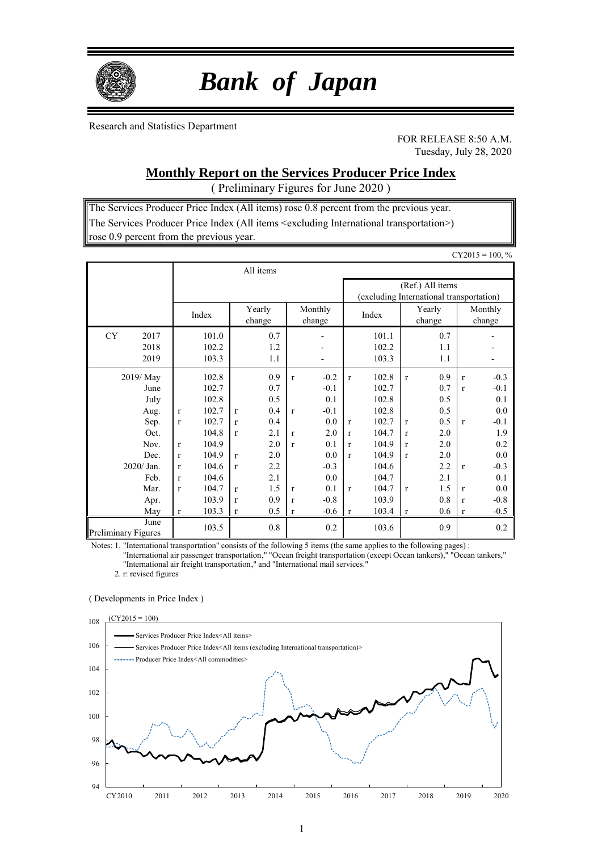

# *Bank of Japan*

Research and Statistics Department

FOR RELEASE 8:50 A.M. Tuesday, July 28, 2020

# **Monthly Report on the Services Producer Price Index**

( Preliminary Figures for June 2020 )

The Services Producer Price Index (All items) rose 0.8 percent from the previous year. The Services Producer Price Index (All items <excluding International transportation>) rose 0.9 percent from the previous year.

|                                                                                                                |                                                                                                                             |                                                                                                                   |                                                                       |                                                                                         |                                                                                                         |                                                                                                           |                                                                                                           |                                                                                                                   |                                                                                                              |                                                                                         |                                                                                                         | $CY2015 = 100, %$                                                                                         |
|----------------------------------------------------------------------------------------------------------------|-----------------------------------------------------------------------------------------------------------------------------|-------------------------------------------------------------------------------------------------------------------|-----------------------------------------------------------------------|-----------------------------------------------------------------------------------------|---------------------------------------------------------------------------------------------------------|-----------------------------------------------------------------------------------------------------------|-----------------------------------------------------------------------------------------------------------|-------------------------------------------------------------------------------------------------------------------|--------------------------------------------------------------------------------------------------------------|-----------------------------------------------------------------------------------------|---------------------------------------------------------------------------------------------------------|-----------------------------------------------------------------------------------------------------------|
|                                                                                                                |                                                                                                                             |                                                                                                                   |                                                                       | All items                                                                               |                                                                                                         |                                                                                                           |                                                                                                           |                                                                                                                   |                                                                                                              |                                                                                         |                                                                                                         |                                                                                                           |
|                                                                                                                |                                                                                                                             |                                                                                                                   |                                                                       |                                                                                         |                                                                                                         | (Ref.) All items<br>(excluding International transportation)                                              |                                                                                                           |                                                                                                                   |                                                                                                              |                                                                                         |                                                                                                         |                                                                                                           |
|                                                                                                                |                                                                                                                             | Index                                                                                                             | Monthly<br>Yearly<br>change<br>change                                 |                                                                                         |                                                                                                         |                                                                                                           | Index                                                                                                     |                                                                                                                   | Yearly<br>change                                                                                             |                                                                                         | Monthly<br>change                                                                                       |                                                                                                           |
| <b>CY</b><br>2017<br>2018<br>2019                                                                              |                                                                                                                             | 101.0<br>102.2<br>103.3                                                                                           |                                                                       | 0.7<br>1.2<br>1.1                                                                       |                                                                                                         | $\overline{\phantom{0}}$                                                                                  |                                                                                                           | 101.1<br>102.2<br>103.3                                                                                           |                                                                                                              | 0.7<br>1.1<br>1.1                                                                       |                                                                                                         |                                                                                                           |
| 2019/ May<br>June<br>July<br>Aug.<br>Sep.<br>Oct.<br>Nov.<br>Dec.<br>2020/ Jan.<br>Feb.<br>Mar.<br>Apr.<br>May | $\mathbf{r}$<br>$\mathbf{r}$<br>$\mathbf{r}$<br>$\mathbf{r}$<br>$\mathbf{r}$<br>$\mathbf{r}$<br>$\mathbf{r}$<br>$\mathbf r$ | 102.8<br>102.7<br>102.8<br>102.7<br>102.7<br>104.8<br>104.9<br>104.9<br>104.6<br>104.6<br>104.7<br>103.9<br>103.3 | $\mathbf{r}$<br>r<br>r<br>$\mathbf{r}$<br>r<br>r<br>$\mathbf{r}$<br>r | 0.9<br>0.7<br>0.5<br>0.4<br>0.4<br>2.1<br>2.0<br>2.0<br>2.2<br>2.1<br>1.5<br>0.9<br>0.5 | $\mathbf{r}$<br>$\mathbf{r}$<br>$\mathbf{r}$<br>$\mathbf{r}$<br>$\mathbf{r}$<br>$\mathbf{r}$<br>$\bf r$ | $-0.2$<br>$-0.1$<br>0.1<br>$-0.1$<br>0.0<br>2.0<br>0.1<br>0.0<br>$-0.3$<br>0.0<br>0.1<br>$-0.8$<br>$-0.6$ | $\mathbf r$<br>$\mathbf{r}$<br>$\mathbf{r}$<br>$\mathbf{r}$<br>$\mathbf{r}$<br>$\mathbf r$<br>$\mathbf r$ | 102.8<br>102.7<br>102.8<br>102.8<br>102.7<br>104.7<br>104.9<br>104.9<br>104.6<br>104.7<br>104.7<br>103.9<br>103.4 | $\mathbf{r}$<br>$\mathbf{r}$<br>$\mathbf{r}$<br>$\mathbf{r}$<br>$\mathbf{r}$<br>$\mathbf{r}$<br>$\mathbf{r}$ | 0.9<br>0.7<br>0.5<br>0.5<br>0.5<br>2.0<br>2.0<br>2.0<br>2.2<br>2.1<br>1.5<br>0.8<br>0.6 | $\mathbf{r}$<br>$\mathbf{r}$<br>$\mathbf{r}$<br>$\mathbf{r}$<br>$\mathbf{r}$<br>$\mathbf{r}$<br>$\bf r$ | $-0.3$<br>$-0.1$<br>0.1<br>0.0<br>$-0.1$<br>1.9<br>0.2<br>0.0<br>$-0.3$<br>0.1<br>0.0<br>$-0.8$<br>$-0.5$ |
| June<br><b>Preliminary Figures</b>                                                                             |                                                                                                                             | 103.5                                                                                                             |                                                                       | 0.8                                                                                     |                                                                                                         | 0.2                                                                                                       |                                                                                                           | 103.6                                                                                                             |                                                                                                              | 0.9                                                                                     |                                                                                                         | 0.2                                                                                                       |

Notes: 1. "International transportation" consists of the following 5 items (the same applies to the following pages) :

"International air passenger transportation," "Ocean freight transportation (except Ocean tankers)," "Ocean tankers," "International air freight transportation," and "International mail services."

2. r: revised figures

#### ( Developments in Price Index )

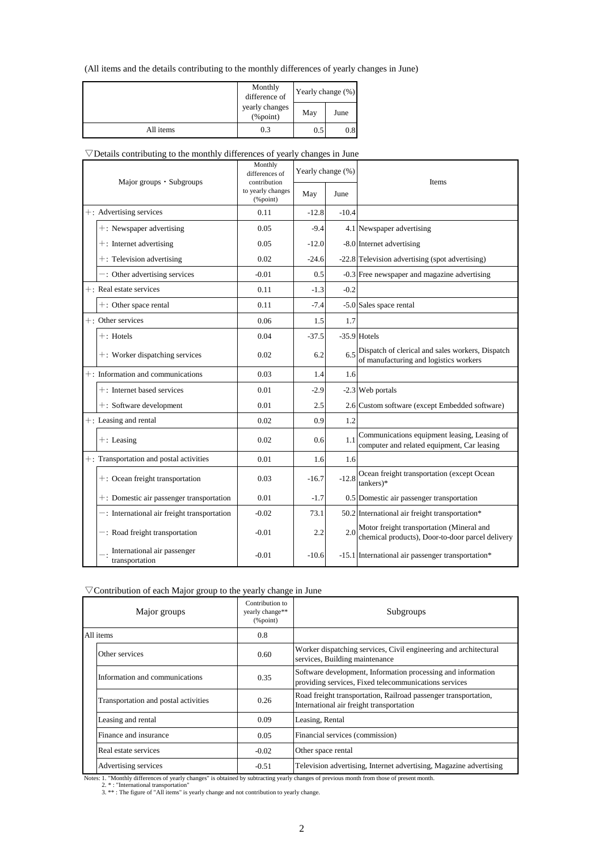### (All items and the details contributing to the monthly differences of yearly changes in June)

|           | Monthly<br>difference of       | Yearly change (%) |      |  |
|-----------|--------------------------------|-------------------|------|--|
|           | yearly changes<br>$(\%$ point) | May               | June |  |
| All items | 0.3                            | 0.5               | 0.8  |  |

### $\nabla$ Details contributing to the monthly differences of yearly changes in June

| Major groups • Subgroups |                                                | Monthly<br>differences of<br>contribution | Yearly change (%) |         | Items                                                                                         |
|--------------------------|------------------------------------------------|-------------------------------------------|-------------------|---------|-----------------------------------------------------------------------------------------------|
|                          |                                                | to yearly changes<br>$(\%$ point)         | May               | June    |                                                                                               |
|                          | +: Advertising services                        | 0.11                                      | $-12.8$           | $-10.4$ |                                                                                               |
|                          | +: Newspaper advertising                       | 0.05                                      | $-9.4$            |         | 4.1 Newspaper advertising                                                                     |
|                          | $+$ : Internet advertising                     | 0.05                                      | $-12.0$           |         | -8.0 Internet advertising                                                                     |
|                          | $+$ : Television advertising                   | 0.02                                      | $-24.6$           |         | -22.8 Television advertising (spot advertising)                                               |
|                          | -: Other advertising services                  | $-0.01$                                   | 0.5               |         | -0.3 Free newspaper and magazine advertising                                                  |
|                          | $+$ : Real estate services                     | 0.11                                      | $-1.3$            | $-0.2$  |                                                                                               |
|                          | $+$ : Other space rental                       | 0.11                                      | $-7.4$            |         | -5.0 Sales space rental                                                                       |
|                          | $+$ : Other services                           | 0.06                                      | 1.5               | 1.7     |                                                                                               |
|                          | $+$ : Hotels                                   | 0.04                                      | $-37.5$           |         | $-35.9$ Hotels                                                                                |
|                          | +: Worker dispatching services                 | 0.02                                      | 6.2               | 6.5     | Dispatch of clerical and sales workers, Dispatch<br>of manufacturing and logistics workers    |
|                          | $+$ : Information and communications           | 0.03                                      | 1.4               | 1.6     |                                                                                               |
|                          | $+$ : Internet based services                  | 0.01                                      | $-2.9$            |         | -2.3 Web portals                                                                              |
|                          | $+$ : Software development                     | 0.01                                      | 2.5               |         | 2.6 Custom software (except Embedded software)                                                |
|                          | $+$ : Leasing and rental                       | 0.02                                      | 0.9               | 1.2     |                                                                                               |
|                          | $+$ : Leasing                                  | 0.02                                      | 0.6               | 1.1     | Communications equipment leasing, Leasing of<br>computer and related equipment, Car leasing   |
|                          | $+$ : Transportation and postal activities     | 0.01                                      | 1.6               | 1.6     |                                                                                               |
|                          | $+$ : Ocean freight transportation             | 0.03                                      | $-16.7$           | $-12.8$ | Ocean freight transportation (except Ocean<br>$tankers)*$                                     |
|                          | $+$ : Domestic air passenger transportation    | 0.01                                      | $-1.7$            |         | 0.5 Domestic air passenger transportation                                                     |
|                          | $-$ : International air freight transportation | $-0.02$                                   | 73.1              |         | 50.2 International air freight transportation*                                                |
|                          | -: Road freight transportation                 | $-0.01$                                   | 2.2               | 2.0     | Motor freight transportation (Mineral and<br>chemical products), Door-to-door parcel delivery |
|                          | International air passenger<br>transportation  | $-0.01$                                   | $-10.6$           |         | -15.1 International air passenger transportation*                                             |

### $\nabla$  Contribution of each Major group to the yearly change in June

| Major groups                         | Contribution to<br>yearly change**<br>$(\%$ point) | Subgroups                                                                                                             |
|--------------------------------------|----------------------------------------------------|-----------------------------------------------------------------------------------------------------------------------|
| All items                            | 0.8                                                |                                                                                                                       |
| Other services                       | 0.60                                               | Worker dispatching services, Civil engineering and architectural<br>services, Building maintenance                    |
| Information and communications       | 0.35                                               | Software development, Information processing and information<br>providing services, Fixed telecommunications services |
| Transportation and postal activities | 0.26                                               | Road freight transportation, Railroad passenger transportation,<br>International air freight transportation           |
| Leasing and rental                   | 0.09                                               | Leasing, Rental                                                                                                       |
| Finance and insurance                | 0.05                                               | Financial services (commission)                                                                                       |
| Real estate services                 | $-0.02$                                            | Other space rental                                                                                                    |
| Advertising services                 | $-0.51$                                            | Television advertising, Internet advertising, Magazine advertising                                                    |

Notes: 1. "Monthly differences of yearly changes" is obtained by subtracting yearly changes of previous month from those of present month.<br>2. \*: "International transportation"<br>3. \*\*: The figure of "All items" is yearly cha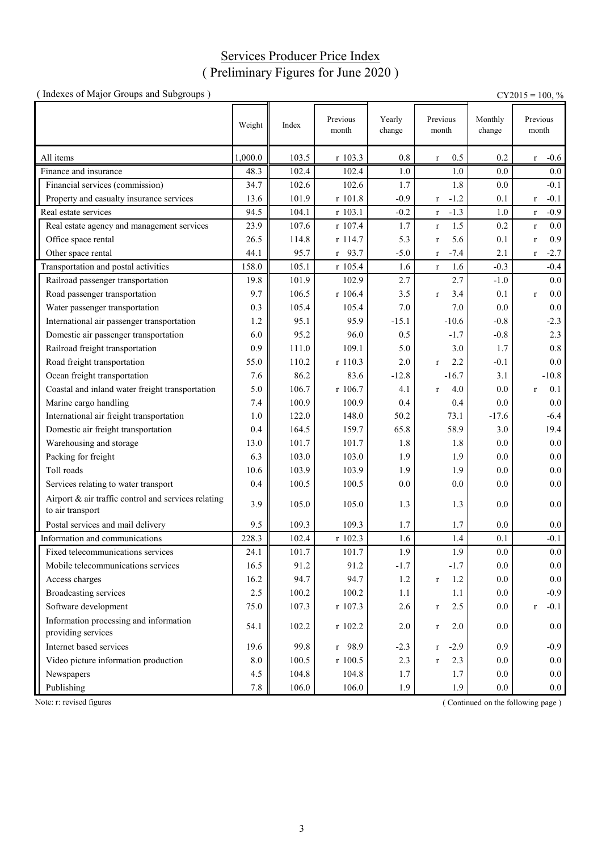# Services Producer Price Index ( Preliminary Figures for June 2020 )

| (Indexes of Major Groups and Subgroups)                                 |         |       |                   |                  |                        |                   | $CY2015 = 100, %$     |
|-------------------------------------------------------------------------|---------|-------|-------------------|------------------|------------------------|-------------------|-----------------------|
|                                                                         | Weight  | Index | Previous<br>month | Yearly<br>change | Previous<br>month      | Monthly<br>change | Previous<br>month     |
| All items                                                               | 1,000.0 | 103.5 | r 103.3           | 0.8              | 0.5<br>$\bf r$         | 0.2               | $-0.6$<br>$\bf r$     |
| Finance and insurance                                                   | 48.3    | 102.4 | 102.4             | 1.0              | 1.0                    | 0.0               | $0.0\,$               |
| Financial services (commission)                                         | 34.7    | 102.6 | 102.6             | 1.7              | 1.8                    | 0.0               | $-0.1$                |
| Property and casualty insurance services                                | 13.6    | 101.9 | r 101.8           | $-0.9$           | $-1.2$<br>$\bf r$      | 0.1               | $-0.1$<br>$\mathbf r$ |
| Real estate services                                                    | 94.5    | 104.1 | r 103.1           | $-0.2$           | $-1.3$<br>$\bf r$      | 1.0               | $-0.9$<br>$\mathbf r$ |
| Real estate agency and management services                              | 23.9    | 107.6 | r 107.4           | 1.7              | 1.5<br>$\bf r$         | 0.2               | 0.0<br>$\mathbf r$    |
| Office space rental                                                     | 26.5    | 114.8 | r 114.7           | 5.3              | 5.6<br>$\bf r$         | 0.1               | 0.9<br>$\mathbf r$    |
| Other space rental                                                      | 44.1    | 95.7  | $r$ 93.7          | $-5.0$           | $-7.4$<br>$\bf r$      | 2.1               | $-2.7$<br>$\bf r$     |
| Transportation and postal activities                                    | 158.0   | 105.1 | r 105.4           | 1.6              | 1.6<br>$\mathbf{r}$    | $-0.3$            | $-0.4$                |
| Railroad passenger transportation                                       | 19.8    | 101.9 | 102.9             | 2.7              | 2.7                    | $-1.0$            | 0.0                   |
| Road passenger transportation                                           | 9.7     | 106.5 | r 106.4           | 3.5              | 3.4<br>$\mathbf r$     | 0.1               | 0.0<br>$\mathbf r$    |
| Water passenger transportation                                          | 0.3     | 105.4 | 105.4             | 7.0              | 7.0                    | 0.0               | 0.0                   |
| International air passenger transportation                              | 1.2     | 95.1  | 95.9              | $-15.1$          | $-10.6$                | $-0.8$            | $-2.3$                |
| Domestic air passenger transportation                                   | 6.0     | 95.2  | 96.0              | 0.5              | $-1.7$                 | $-0.8$            | 2.3                   |
| Railroad freight transportation                                         | 0.9     | 111.0 | 109.1             | 5.0              | 3.0                    | 1.7               | 0.8                   |
| Road freight transportation                                             | 55.0    | 110.2 | r 110.3           | 2.0              | 2.2<br>$\mathbf{r}$    | $-0.1$            | 0.0                   |
| Ocean freight transportation                                            | 7.6     | 86.2  | 83.6              | $-12.8$          | $-16.7$                | 3.1               | $-10.8$               |
| Coastal and inland water freight transportation                         | 5.0     | 106.7 | r 106.7           | 4.1              | 4.0<br>$\mathbf{r}$    | 0.0               | 0.1<br>$\mathbf r$    |
| Marine cargo handling                                                   | 7.4     | 100.9 | 100.9             | 0.4              | 0.4                    | 0.0               | 0.0                   |
| International air freight transportation                                | 1.0     | 122.0 | 148.0             | 50.2             | 73.1                   | $-17.6$           | $-6.4$                |
| Domestic air freight transportation                                     | 0.4     | 164.5 | 159.7             | 65.8             | 58.9                   | 3.0               | 19.4                  |
| Warehousing and storage                                                 | 13.0    | 101.7 | 101.7             | 1.8              | 1.8                    | 0.0               | 0.0                   |
| Packing for freight                                                     | 6.3     | 103.0 | 103.0             | 1.9              | 1.9                    | 0.0               | 0.0                   |
| Toll roads                                                              | 10.6    | 103.9 | 103.9             | 1.9              | 1.9                    | 0.0               | 0.0                   |
| Services relating to water transport                                    | 0.4     | 100.5 | 100.5             | 0.0              | 0.0                    | 0.0               | 0.0                   |
| Airport & air traffic control and services relating<br>to air transport | 3.9     | 105.0 | 105.0             | 1.3              | 1.3                    | 0.0               | 0.0                   |
| Postal services and mail delivery                                       | 9.5     | 109.3 | 109.3             | 1.7              | 1.7                    | 0.0               | 0.0                   |
| Information and communications                                          | 228.3   | 102.4 | r 102.3           | 1.6              | 1.4                    | 0.1               | $-0.1$                |
| Fixed telecommunications services                                       | 24.1    | 101.7 | 101.7             | 1.9              | 1.9                    | 0.0               | $0.0\,$               |
| Mobile telecommunications services                                      | 16.5    | 91.2  | 91.2              | $-1.7$           | $-1.7$                 | 0.0               | 0.0                   |
| Access charges                                                          | 16.2    | 94.7  | 94.7              | 1.2              | 1.2<br>$\bf r$         | 0.0               | $0.0\,$               |
| <b>Broadcasting services</b>                                            | 2.5     | 100.2 | 100.2             | 1.1              | 1.1                    | 0.0               | $-0.9$                |
| Software development                                                    | 75.0    | 107.3 | r 107.3           | 2.6              | 2.5<br>$\bf r$         | 0.0               | $-0.1$<br>$\mathbf r$ |
| Information processing and information<br>providing services            | 54.1    | 102.2 | r 102.2           | 2.0              | 2.0<br>$\mathbf{r}$    | 0.0               | 0.0                   |
| Internet based services                                                 | 19.6    | 99.8  | r 98.9            | $-2.3$           | $-2.9$<br>$\mathbf{r}$ | 0.9               | $-0.9$                |
| Video picture information production                                    | 8.0     | 100.5 | $r$ 100.5         | 2.3              | 2.3<br>$\mathbf{r}$    | 0.0               | $0.0\,$               |
| Newspapers                                                              | 4.5     | 104.8 | 104.8             | 1.7              | 1.7                    | 0.0               | 0.0                   |
| Publishing                                                              | $7.8\,$ | 106.0 | 106.0             | 1.9              | 1.9                    | 0.0               | $0.0\,$               |

Note: r: revised figures (Continued on the following page)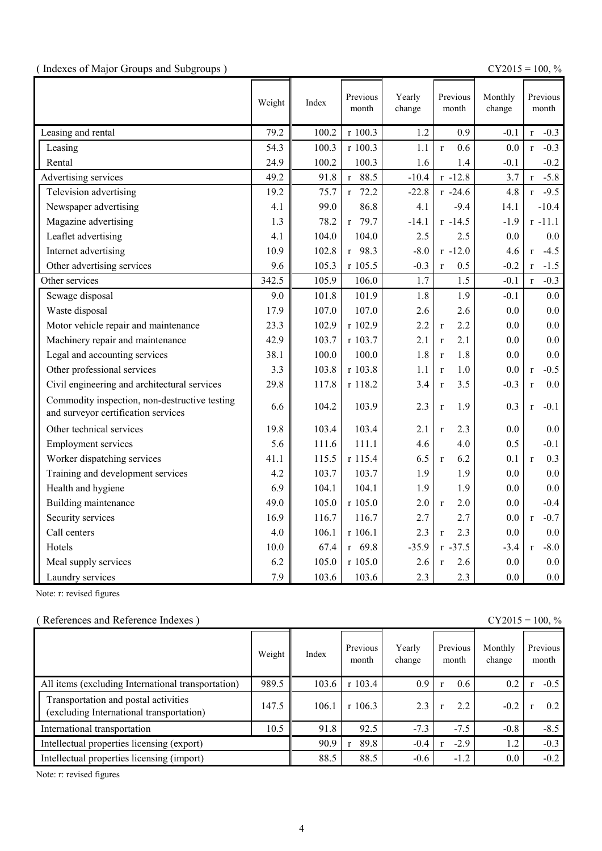|  |  | (Indexes of Major Groups and Subgroups) |  |
|--|--|-----------------------------------------|--|
|  |  |                                         |  |

(  $\text{CY2015} = 100, \%$ 

|                                                                                      | Weight | Index | Previous<br>month    | Yearly<br>change | Previous<br>month   | Monthly<br>change | Previous<br>month      |
|--------------------------------------------------------------------------------------|--------|-------|----------------------|------------------|---------------------|-------------------|------------------------|
| Leasing and rental                                                                   | 79.2   | 100.2 | r 100.3              | 1.2              | 0.9                 | $-0.1$            | $-0.3$<br>$\mathbf{r}$ |
| Leasing                                                                              | 54.3   | 100.3 | r 100.3              | 1.1              | 0.6<br>$\mathbf{r}$ | 0.0               | $-0.3$<br>$\mathbf{r}$ |
| Rental                                                                               | 24.9   | 100.2 | 100.3                | 1.6              | 1.4                 | $-0.1$            | $-0.2$                 |
| Advertising services                                                                 | 49.2   | 91.8  | $r$ 88.5             | $-10.4$          | $r - 12.8$          | 3.7               | $-5.8$<br>$\mathbf{r}$ |
| Television advertising                                                               | 19.2   | 75.7  | 72.2<br>$\mathbf{r}$ | $-22.8$          | $r - 24.6$          | 4.8               | $-9.5$<br>$\mathbf{r}$ |
| Newspaper advertising                                                                | 4.1    | 99.0  | 86.8                 | 4.1              | $-9.4$              | 14.1              | $-10.4$                |
| Magazine advertising                                                                 | 1.3    | 78.2  | $r$ 79.7             | $-14.1$          | $r - 14.5$          | $-1.9$            | $r - 11.1$             |
| Leaflet advertising                                                                  | 4.1    | 104.0 | 104.0                | 2.5              | 2.5                 | 0.0               | 0.0                    |
| Internet advertising                                                                 | 10.9   | 102.8 | $r$ 98.3             | $-8.0$           | $r - 12.0$          | 4.6               | $-4.5$<br>$\mathbf{r}$ |
| Other advertising services                                                           | 9.6    | 105.3 | r 105.5              | $-0.3$           | 0.5<br>$\mathbf r$  | $-0.2$            | $-1.5$<br>$\mathbf{r}$ |
| Other services                                                                       | 342.5  | 105.9 | 106.0                | 1.7              | 1.5                 | $-0.1$            | $-0.3$<br>$\mathbf{r}$ |
| Sewage disposal                                                                      | 9.0    | 101.8 | 101.9                | 1.8              | 1.9                 | $-0.1$            | 0.0                    |
| Waste disposal                                                                       | 17.9   | 107.0 | 107.0                | 2.6              | 2.6                 | 0.0               | 0.0                    |
| Motor vehicle repair and maintenance                                                 | 23.3   | 102.9 | r 102.9              | 2.2              | 2.2<br>$\mathbf{r}$ | 0.0               | 0.0                    |
| Machinery repair and maintenance                                                     | 42.9   | 103.7 | r 103.7              | 2.1              | 2.1<br>$\mathbf{r}$ | 0.0               | 0.0                    |
| Legal and accounting services                                                        | 38.1   | 100.0 | 100.0                | 1.8              | 1.8<br>$\mathbf{r}$ | 0.0               | 0.0                    |
| Other professional services                                                          | 3.3    | 103.8 | r 103.8              | 1.1              | 1.0<br>$\mathbf{r}$ | 0.0               | $-0.5$<br>$\mathbf{r}$ |
| Civil engineering and architectural services                                         | 29.8   | 117.8 | r 118.2              | 3.4              | 3.5<br>$\mathbf{r}$ | $-0.3$            | 0.0<br>$\mathbf{r}$    |
| Commodity inspection, non-destructive testing<br>and surveyor certification services | 6.6    | 104.2 | 103.9                | 2.3              | 1.9<br>$\mathbf r$  | 0.3               | $-0.1$<br>$\mathbf{r}$ |
| Other technical services                                                             | 19.8   | 103.4 | 103.4                | 2.1              | 2.3<br>$\mathbf{r}$ | 0.0               | 0.0                    |
| <b>Employment services</b>                                                           | 5.6    | 111.6 | 111.1                | 4.6              | 4.0                 | 0.5               | $-0.1$                 |
| Worker dispatching services                                                          | 41.1   | 115.5 | r 115.4              | 6.5              | 6.2<br>$\mathbf{r}$ | 0.1               | 0.3<br>$\mathbf{r}$    |
| Training and development services                                                    | 4.2    | 103.7 | 103.7                | 1.9              | 1.9                 | 0.0               | 0.0                    |
| Health and hygiene                                                                   | 6.9    | 104.1 | 104.1                | 1.9              | 1.9                 | 0.0               | 0.0                    |
| Building maintenance                                                                 | 49.0   | 105.0 | r 105.0              | 2.0              | 2.0<br>$\mathbf{r}$ | 0.0               | $-0.4$                 |
| Security services                                                                    | 16.9   | 116.7 | 116.7                | 2.7              | 2.7                 | 0.0               | $-0.7$<br>$\mathbf{r}$ |
| Call centers                                                                         | 4.0    | 106.1 | $r$ 106.1            | 2.3              | 2.3<br>$\mathbf r$  | 0.0               | 0.0                    |
| Hotels                                                                               | 10.0   | 67.4  | $r$ 69.8             | $-35.9$          | $r -37.5$           | $-3.4$            | $-8.0$<br>$\mathbf{r}$ |
| Meal supply services                                                                 | 6.2    | 105.0 | r 105.0              | 2.6              | 2.6<br>$\mathbf{r}$ | 0.0               | 0.0                    |
| Laundry services                                                                     | 7.9    | 103.6 | 103.6                | 2.3              | 2.3                 | 0.0               | 0.0                    |

Note: r: revised figures

## ( References and Reference Indexes ) CY2015 = 100, %

|                                                                                  | Weight | Index | Previous<br>month | Yearly<br>change | Previous<br>month | Monthly<br>change | Previous<br>month |
|----------------------------------------------------------------------------------|--------|-------|-------------------|------------------|-------------------|-------------------|-------------------|
| All items (excluding International transportation)                               | 989.5  | 103.6 | r 103.4           | 0.9              | 0.6               | 0.2               | $-0.5$            |
| Transportation and postal activities<br>(excluding International transportation) | 147.5  | 106.1 | r106.3            | 2.3              | 2.2               | $-0.2$            | 0.2               |
| International transportation                                                     | 10.5   | 91.8  | 92.5              | $-7.3$           | $-7.5$            | $-0.8$            | $-8.5$            |
| Intellectual properties licensing (export)                                       |        | 90.9  | 89.8              | $-0.4$           | $-2.9$            | 1.2               | $-0.3$            |
| Intellectual properties licensing (import)                                       |        | 88.5  | 88.5              | $-0.6$           | $-1.2$            | $0.0\,$           | $-0.2$            |

Note: r: revised figures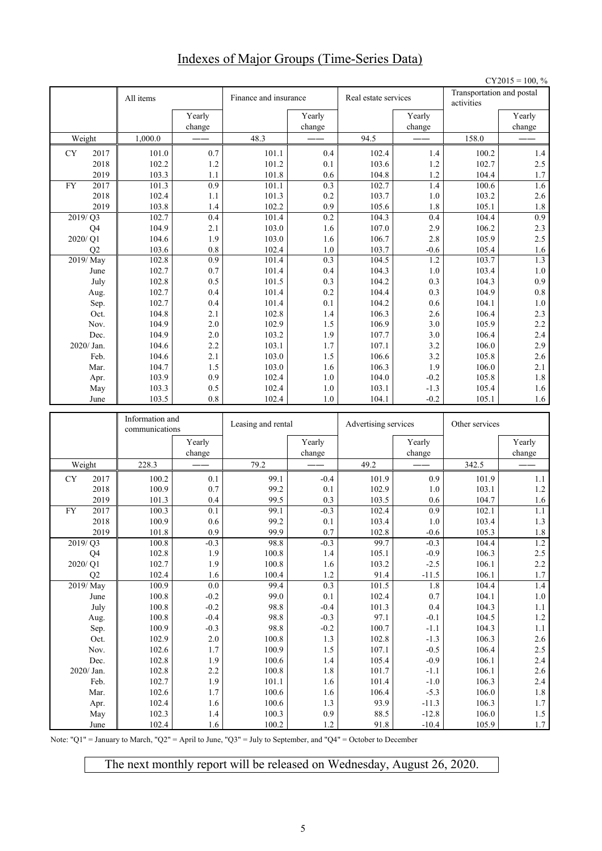# Indexes of Major Groups (Time-Series Data)

|           |                                    |                 |                  |                       |                  |                      |                    |                                         | $CY2015 = 100, %$     |
|-----------|------------------------------------|-----------------|------------------|-----------------------|------------------|----------------------|--------------------|-----------------------------------------|-----------------------|
|           |                                    | All items       |                  | Finance and insurance |                  | Real estate services |                    | Transportation and postal<br>activities |                       |
|           |                                    |                 | Yearly           |                       | Yearly           |                      | Yearly             |                                         | Yearly                |
|           |                                    |                 | change           |                       | change           |                      | change             |                                         | change                |
|           | Weight                             | 1,000.0         |                  | 48.3                  |                  | 94.5                 |                    | 158.0                                   |                       |
| CY        | 2017                               | 101.0           | 0.7              | 101.1                 | 0.4              | 102.4                | 1.4                | 100.2                                   | $1.4$                 |
|           | 2018                               | 102.2           | $1.2\,$          | 101.2                 | 0.1              | 103.6                | 1.2                | 102.7                                   | 2.5                   |
|           | 2019                               | 103.3           | 1.1              | 101.8                 | 0.6              | 104.8                | 1.2                | 104.4                                   | 1.7                   |
| <b>FY</b> | 2017                               | 101.3           | 0.9              | 101.1                 | 0.3              | 102.7                | 1.4                | 100.6                                   | 1.6                   |
|           | 2018<br>2019                       | 102.4<br>103.8  | 1.1<br>1.4       | 101.3<br>102.2        | 0.2<br>0.9       | 103.7<br>105.6       | 1.0<br>1.8         | 103.2<br>105.1                          | 2.6<br>$1.8\,$        |
|           | 2019/Q3                            | 102.7           | 0.4              | 101.4                 | 0.2              | 104.3                | 0.4                | 104.4                                   | 0.9                   |
|           | Q4                                 | 104.9           | 2.1              | 103.0                 | 1.6              | 107.0                | 2.9                | 106.2                                   | 2.3                   |
|           | 2020/Q1                            | 104.6           | 1.9              | 103.0                 | 1.6              | 106.7                | 2.8                | 105.9                                   | 2.5                   |
|           | Q2                                 | 103.6           | 0.8              | 102.4                 | 1.0              | 103.7                | $-0.6$             | 105.4                                   | 1.6                   |
|           | 2019/May                           | 102.8           | 0.9              | 101.4                 | 0.3              | 104.5                | 1.2                | 103.7                                   | 1.3                   |
|           | June                               | 102.7           | 0.7              | 101.4                 | 0.4              | 104.3                | 1.0                | 103.4                                   | $1.0\,$               |
|           | July                               | 102.8           | 0.5              | 101.5                 | 0.3              | 104.2                | 0.3                | 104.3                                   | 0.9                   |
|           | Aug.                               | 102.7           | 0.4              | 101.4                 | 0.2              | 104.4                | 0.3                | 104.9                                   | $0.8\,$               |
|           | Sep.                               | 102.7           | 0.4              | 101.4                 | 0.1              | 104.2                | 0.6                | 104.1                                   | 1.0                   |
|           | Oct.<br>Nov.                       | 104.8<br>104.9  | 2.1<br>2.0       | 102.8<br>102.9        | 1.4<br>1.5       | 106.3<br>106.9       | 2.6<br>3.0         | 106.4<br>105.9                          | 2.3<br>2.2            |
|           | Dec.                               | 104.9           | 2.0              | 103.2                 | 1.9              | 107.7                | 3.0                | 106.4                                   | 2.4                   |
|           | $2020/$ Jan.                       | 104.6           | 2.2              | 103.1                 | 1.7              | 107.1                | 3.2                | 106.0                                   | 2.9                   |
|           | Feb.                               | 104.6           | 2.1              | 103.0                 | 1.5              | 106.6                | 3.2                | 105.8                                   | 2.6                   |
|           | Mar.                               | 104.7           | 1.5              | 103.0                 | 1.6              | 106.3                | 1.9                | 106.0                                   | 2.1                   |
|           | Apr.                               | 103.9           | 0.9              | 102.4                 | 1.0              | 104.0                | $-0.2$             | 105.8                                   | $1.8\,$               |
|           | May                                | 103.3           | 0.5              | 102.4                 | 1.0              | 103.1                | $-1.3$             | 105.4                                   | 1.6                   |
|           |                                    |                 |                  |                       |                  |                      |                    |                                         |                       |
|           | June                               | 103.5           | 0.8              | 102.4                 | 1.0              | 104.1                | $-0.2$             | 105.1                                   |                       |
|           |                                    | Information and |                  |                       |                  |                      |                    |                                         |                       |
|           |                                    | communications  |                  | Leasing and rental    |                  | Advertising services |                    | Other services                          |                       |
|           |                                    |                 | Yearly<br>change |                       | Yearly<br>change |                      | Yearly<br>change   |                                         | Yearly<br>change      |
|           | Weight                             | 228.3           |                  | 79.2                  |                  | 49.2                 |                    | 342.5                                   |                       |
| CY        | 2017                               | 100.2           | 0.1              | 99.1                  | $-0.4$           | 101.9                | 0.9                | 101.9                                   | 1.1                   |
|           | 2018                               | 100.9           | 0.7              | 99.2                  | 0.1              | 102.9                | 1.0                | 103.1                                   | $1.2\,$               |
|           | 2019                               | 101.3           | 0.4              | 99.5                  | 0.3              | 103.5                | 0.6                | 104.7                                   | 1.6                   |
| <b>FY</b> | 2017                               | 100.3           | 0.1              | 99.1                  | $-0.3$           | 102.4                | 0.9                | 102.1                                   | 1.1                   |
|           | 2018                               | 100.9           | 0.6              | 99.2                  | 0.1              | 103.4                | 1.0                | 103.4                                   | 1.3                   |
|           | 2019                               | $101.8\,$       | $0.9\,$          | 99.9                  | 0.7              | 102.8                | $-0.6$             | 105.3                                   | $1.8\,$               |
|           | 2019/Q3                            | 100.8           | $-0.3$           | 98.8                  | $-0.3$           | 99.7                 | $-0.3$             | 104.4                                   | $1.2\,$               |
|           | Q <sub>4</sub><br>$2020/\sqrt{Q1}$ | 102.8<br>102.7  | 1.9<br>1.9       | $100.8\,$<br>100.8    | $1.4$<br>1.6     | 105.1<br>103.2       | $-0.9$<br>$-2.5$   | 106.3<br>106.1                          | $2.5\,$<br>$2.2\,$    |
|           | Q2                                 | 102.4           | 1.6              | 100.4                 | $1.2$            | 91.4                 | $-11.5$            | 106.1                                   | $1.7\,$               |
|           | 2019/May                           | 100.9           | $0.0\,$          | 99.4                  | 0.3              | 101.5                | $1.8\,$            | 104.4                                   | $1.4\,$               |
|           | June                               | $100.8\,$       | $-0.2$           | 99.0                  | 0.1              | 102.4                | $0.7\,$            | 104.1                                   | $1.0\,$               |
|           | July                               | 100.8           | $-0.2$           | 98.8                  | $-0.4$           | 101.3                | $0.4\,$            | 104.3                                   | $1.1\,$               |
|           | Aug.                               | 100.8           | $-0.4$           | 98.8                  | $-0.3$           | 97.1                 | $-0.1$             | 104.5                                   | 1.2                   |
|           | Sep.                               | 100.9           | $-0.3$           | 98.8                  | $-0.2$           | 100.7                | $-1.1$             | 104.3                                   | $1.1\,$               |
|           | Oct.                               | 102.9           | $2.0\,$          | 100.8                 | $1.3\,$          | 102.8                | $-1.3$             | 106.3                                   | 2.6                   |
|           | Nov.<br>Dec.                       | 102.6<br>102.8  | 1.7<br>1.9       | 100.9<br>100.6        | $1.5\,$<br>$1.4$ | 107.1<br>105.4       | $-0.5$<br>$-0.9$   | 106.4<br>106.1                          | $2.5\,$               |
|           | 2020/ Jan.                         | 102.8           | $2.2\,$          | 100.8                 | $1.8\,$          | 101.7                | $-1.1$             | 106.1                                   | $2.4\,$<br>$2.6\,$    |
|           | Feb.                               | 102.7           | 1.9              | 101.1                 | 1.6              | 101.4                | $-1.0$             | 106.3                                   | $2.4\,$               |
|           | Mar.                               | 102.6           | $1.7\,$          | 100.6                 | 1.6              | 106.4                | $-5.3$             | 106.0                                   | $1.8\,$               |
|           | Apr.                               | 102.4           | 1.6              | $100.6\,$             | $1.3\,$          | 93.9                 | $-11.3$            | 106.3                                   | $1.7\,$               |
|           | May<br>June                        | 102.3<br>102.4  | 1.4<br>1.6       | 100.3<br>100.2        | 0.9<br>$1.2\,$   | 88.5<br>91.8         | $-12.8$<br>$-10.4$ | 106.0<br>105.9                          | 1.6<br>$1.5\,$<br>1.7 |

Note: "Q1" = January to March, "Q2" = April to June, "Q3" = July to September, and "Q4" = October to December

The next monthly report will be released on Wednesday, August 26, 2020.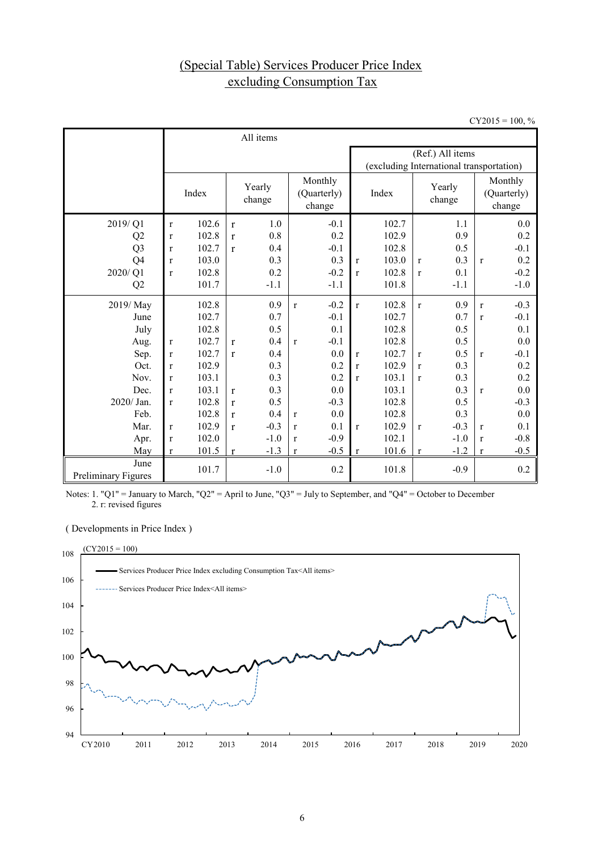# (Special Table) Services Producer Price Index excluding Consumption Tax

 $CY2015 = 100, %$ 

|                             |              |       |              | All items        |              |                                  |                                          |       |              |                  |              |                                  |  |
|-----------------------------|--------------|-------|--------------|------------------|--------------|----------------------------------|------------------------------------------|-------|--------------|------------------|--------------|----------------------------------|--|
|                             |              |       |              |                  |              |                                  | (Ref.) All items                         |       |              |                  |              |                                  |  |
|                             |              |       |              |                  |              |                                  | (excluding International transportation) |       |              |                  |              |                                  |  |
|                             |              | Index |              | Yearly<br>change |              | Monthly<br>(Quarterly)<br>change |                                          | Index |              | Yearly<br>change |              | Monthly<br>(Quarterly)<br>change |  |
| 2019/Q1                     | $\bf r$      | 102.6 | $\mathbf{r}$ | 1.0              |              | $-0.1$                           |                                          | 102.7 |              | 1.1              |              | 0.0                              |  |
| Q <sub>2</sub>              | $\bf r$      | 102.8 | $\mathbf{r}$ | 0.8              |              | 0.2                              |                                          | 102.9 |              | 0.9              |              | 0.2                              |  |
| Q <sub>3</sub>              | r            | 102.7 | r            | 0.4              |              | $-0.1$                           |                                          | 102.8 |              | 0.5              |              | $-0.1$                           |  |
| Q <sub>4</sub>              | $\mathbf{r}$ | 103.0 |              | 0.3              |              | 0.3                              | $\mathbf{r}$                             | 103.0 | $\mathbf{r}$ | 0.3              | $\mathbf{r}$ | 0.2                              |  |
| 2020/Q1                     | $\mathbf{r}$ | 102.8 |              | 0.2              |              | $-0.2$                           | $\mathbf{r}$                             | 102.8 | $\mathbf{r}$ | 0.1              |              | $-0.2$                           |  |
| Q2                          |              | 101.7 |              | $-1.1$           |              | $-1.1$                           |                                          | 101.8 |              | $-1.1$           |              | $-1.0$                           |  |
| 2019/May                    |              | 102.8 |              | 0.9              | $\mathbf{r}$ | $-0.2$                           | $\mathbf{r}$                             | 102.8 | $\mathbf{r}$ | 0.9              | $\mathbf{r}$ | $-0.3$                           |  |
| June                        |              | 102.7 |              | 0.7              |              | $-0.1$                           |                                          | 102.7 |              | 0.7              | $\mathbf{r}$ | $-0.1$                           |  |
| July                        |              | 102.8 |              | 0.5              |              | 0.1                              |                                          | 102.8 |              | 0.5              |              | 0.1                              |  |
| Aug.                        | $\bf r$      | 102.7 | r            | 0.4              | $\mathbf{r}$ | $-0.1$                           |                                          | 102.8 |              | 0.5              |              | 0.0                              |  |
| Sep.                        | $\mathbf{r}$ | 102.7 | r            | 0.4              |              | 0.0                              | $\mathbf{r}$                             | 102.7 | $\mathbf{r}$ | 0.5              | $\mathbf{r}$ | $-0.1$                           |  |
| Oct.                        | $\mathbf{r}$ | 102.9 |              | 0.3              |              | 0.2                              | $\mathbf{r}$                             | 102.9 | $\mathbf{r}$ | 0.3              |              | 0.2                              |  |
| Nov.                        | $\mathbf{r}$ | 103.1 |              | 0.3              |              | 0.2                              | $\mathbf{r}$                             | 103.1 | $\mathbf{r}$ | 0.3              |              | 0.2                              |  |
| Dec.                        | $\mathbf{r}$ | 103.1 | r            | 0.3              |              | 0.0                              |                                          | 103.1 |              | 0.3              | $\mathbf{r}$ | 0.0                              |  |
| $2020/$ Jan.                | $\mathbf{r}$ | 102.8 | r            | 0.5              |              | $-0.3$                           |                                          | 102.8 |              | 0.5              |              | $-0.3$                           |  |
| Feb.                        |              | 102.8 | r            | 0.4              | $\mathbf{r}$ | 0.0                              |                                          | 102.8 |              | 0.3              |              | 0.0                              |  |
| Mar.                        | $\mathbf{r}$ | 102.9 | r            | $-0.3$           | r            | 0.1                              | $\mathbf{r}$                             | 102.9 | $\mathbf{r}$ | $-0.3$           | $\mathbf{r}$ | 0.1                              |  |
| Apr.                        | $\mathbf{r}$ | 102.0 |              | $-1.0$           | r            | $-0.9$                           |                                          | 102.1 |              | $-1.0$           | $\mathbf{r}$ | $-0.8$                           |  |
| May                         | $\mathbf{r}$ | 101.5 | r            | $-1.3$           | r            | $-0.5$                           | $\mathbf{r}$                             | 101.6 | $\bf r$      | $-1.2$           | r            | $-0.5$                           |  |
| June<br>Preliminary Figures |              | 101.7 |              | $-1.0$           |              | 0.2                              |                                          | 101.8 |              | $-0.9$           |              | 0.2                              |  |

Notes: 1. "Q1" = January to March, "Q2" = April to June, "Q3" = July to September, and "Q4" = October to December 2. r: revised figures

( Developments in Price Index )

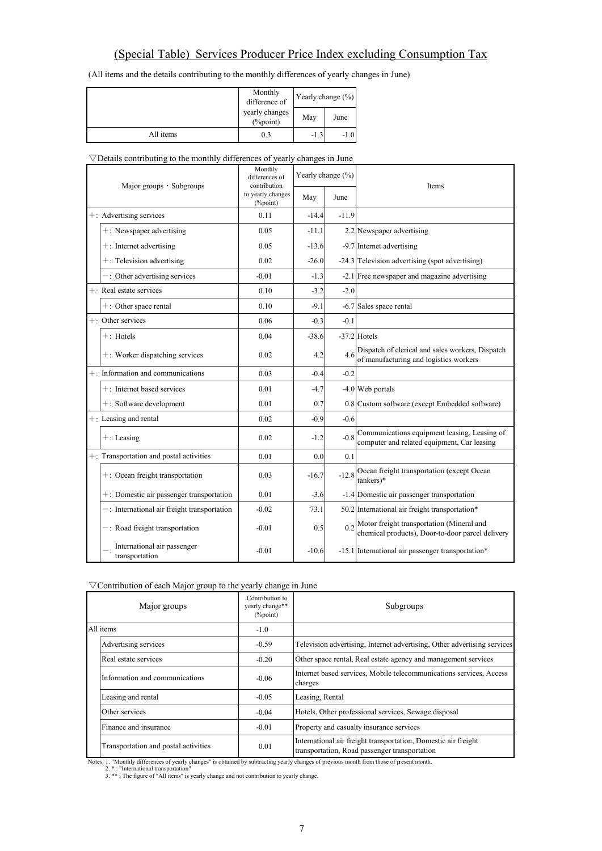# (Special Table) Services Producer Price Index excluding Consumption Tax

(All items and the details contributing to the monthly differences of yearly changes in June)

|           | Monthly<br>difference of       | Yearly change (%) |        |  |
|-----------|--------------------------------|-------------------|--------|--|
|           | yearly changes<br>$(\%$ point) | May               | June   |  |
| All items | 0.3                            | $-1.3$            | $-1.0$ |  |

#### $\nabla$ Details contributing to the monthly differences of yearly changes in June

| Major groups • Subgroups                       | Monthly<br>differences of<br>contribution | Yearly change (%) |         | <b>Items</b>                                                                                        |  |  |
|------------------------------------------------|-------------------------------------------|-------------------|---------|-----------------------------------------------------------------------------------------------------|--|--|
|                                                | to yearly changes<br>$(\%$ point)         | May               | June    |                                                                                                     |  |  |
| +: Advertising services                        | 0.11                                      | $-14.4$           | $-11.9$ |                                                                                                     |  |  |
| $+$ : Newspaper advertising                    | 0.05                                      | $-11.1$           |         | 2.2 Newspaper advertising                                                                           |  |  |
| $+$ : Internet advertising                     | 0.05                                      | $-13.6$           |         | -9.7 Internet advertising                                                                           |  |  |
| $+$ : Television advertising                   | 0.02                                      | $-26.0$           |         | -24.3 Television advertising (spot advertising)                                                     |  |  |
| -: Other advertising services                  | $-0.01$                                   | $-1.3$            |         | -2.1 Free newspaper and magazine advertising                                                        |  |  |
| $+$ : Real estate services                     | 0.10                                      | $-3.2$            | $-2.0$  |                                                                                                     |  |  |
| $+$ : Other space rental                       | 0.10                                      | $-9.1$            |         | -6.7 Sales space rental                                                                             |  |  |
| $+$ : Other services                           | 0.06                                      | $-0.3$            | $-0.1$  |                                                                                                     |  |  |
| $+$ : Hotels                                   | 0.04                                      | $-38.6$           |         | $-37.2$ Hotels                                                                                      |  |  |
| +: Worker dispatching services                 | 0.02                                      | 4.2               | 4.6     | Dispatch of clerical and sales workers, Dispatch<br>of manufacturing and logistics workers          |  |  |
| +: Information and communications              | 0.03                                      | $-0.4$            | $-0.2$  |                                                                                                     |  |  |
| +: Internet based services                     | 0.01                                      | $-4.7$            |         | -4.0 Web portals                                                                                    |  |  |
| $+$ : Software development                     | 0.01                                      | 0.7               |         | 0.8 Custom software (except Embedded software)                                                      |  |  |
| +: Leasing and rental                          | 0.02                                      | $-0.9$            | $-0.6$  |                                                                                                     |  |  |
| $+$ : Leasing                                  | 0.02                                      | $-1.2$            | $-0.8$  | Communications equipment leasing, Leasing of<br>computer and related equipment, Car leasing         |  |  |
| $+$ : Transportation and postal activities     | 0.01                                      | 0.0               | 0.1     |                                                                                                     |  |  |
| $+$ : Ocean freight transportation             | 0.03                                      | $-16.7$           | $-12.8$ | Ocean freight transportation (except Ocean<br>$tankers)*$                                           |  |  |
| +: Domestic air passenger transportation       | 0.01                                      | $-3.6$            |         | -1.4 Domestic air passenger transportation                                                          |  |  |
| $-$ : International air freight transportation | $-0.02$                                   | 73.1              |         | 50.2 International air freight transportation*                                                      |  |  |
| $-$ : Road freight transportation              | $-0.01$                                   | 0.5               |         | $0.2$ Motor freight transportation (Mineral and<br>chemical products), Door-to-door parcel delivery |  |  |
| International air passenger<br>transportation  | $-0.01$                                   | $-10.6$           |         | -15.1 International air passenger transportation*                                                   |  |  |

#### $\nabla$  Contribution of each Major group to the yearly change in June

| Major groups                         | Contribution to<br>yearly change**<br>$(\%$ point) | Subgroups                                                                                                       |  |  |
|--------------------------------------|----------------------------------------------------|-----------------------------------------------------------------------------------------------------------------|--|--|
| All items                            | $-1.0$                                             |                                                                                                                 |  |  |
| Advertising services                 | $-0.59$                                            | Television advertising, Internet advertising, Other advertising services                                        |  |  |
| Real estate services                 | $-0.20$                                            | Other space rental, Real estate agency and management services                                                  |  |  |
| Information and communications       | $-0.06$                                            | Internet based services, Mobile telecommunications services, Access<br>charges                                  |  |  |
| Leasing and rental                   | $-0.05$                                            | Leasing, Rental                                                                                                 |  |  |
| Other services                       | $-0.04$                                            | Hotels, Other professional services, Sewage disposal                                                            |  |  |
| Finance and insurance                | $-0.01$                                            | Property and casualty insurance services                                                                        |  |  |
| Transportation and postal activities | 0.01                                               | International air freight transportation, Domestic air freight<br>transportation, Road passenger transportation |  |  |

Notes: 1. "Monthly differences of yearly changes" is obtained by subtracting yearly changes of previous month from those of present month.<br>2. \*: "International transportation"<br>3. \*\*: The figure of "All items" is yearly cha